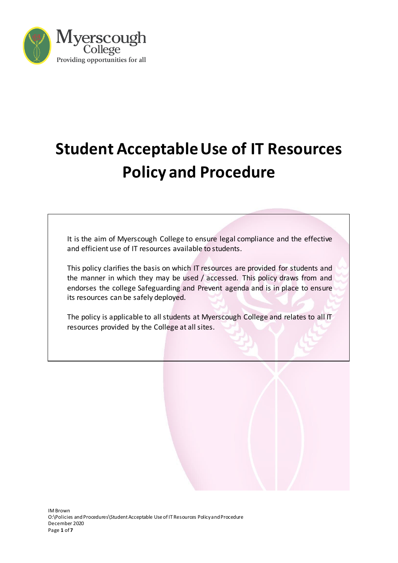

# **Student Acceptable Use of IT Resources Policy and Procedure**

It is the aim of Myerscough College to ensure legal compliance and the effective and efficient use of IT resources available to students.

This policy clarifies the basis on which IT resources are provided for students and the manner in which they may be used / accessed. This policy draws from and endorses the college Safeguarding and Prevent agenda and is in place to ensure its resources can be safely deployed.

The policy is applicable to all students at Myerscough College and relates to all IT resources provided by the College at all sites.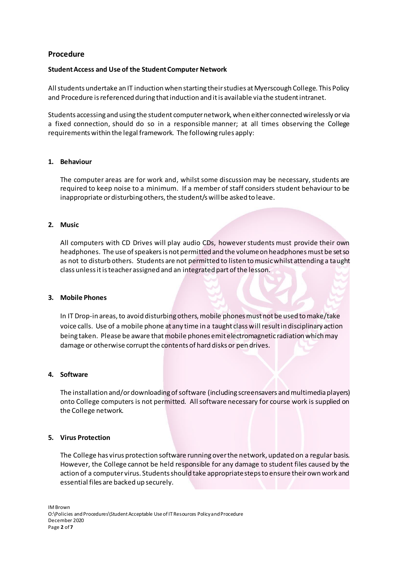## **Procedure**

### **Student Access and Use of the Student Computer Network**

All students undertake an IT induction when starting their studies at Myerscough College. This Policy and Procedure is referenced during that induction and it is available via the student intranet.

Students accessing and using the student computer network, when either connected wirelessly or via a fixed connection, should do so in a responsible manner; at all times observing the College requirements within the legal framework. The following rules apply:

#### **1. Behaviour**

The computer areas are for work and, whilst some discussion may be necessary, students are required to keep noise to a minimum. If a member of staff considers student behaviour to be inappropriate or disturbing others, the student/s will be asked to leave.

# **2. Music**

All computers with CD Drives will play audio CDs, however students must provide their own headphones. The use of speakers is not permitted and the volume on headphones must be set so as not to disturb others. Students are not permitted to listen to music whilst attending a taught class unless it is teacher assigned and an integrated part of the lesson.

#### **3. Mobile Phones**

In IT Drop-in areas, to avoid disturbing others, mobile phones must not be used to make/take voice calls. Use of a mobile phone at any time in a taught class will result in disciplinary action being taken. Please be aware that mobile phones emit electromagnetic radiation which may damage or otherwise corrupt the contents of hard disks or pen drives.

#### **4. Software**

The installation and/or downloading of software (including screensavers and multimedia players) onto College computers is not permitted. All software necessary for course work is supplied on the College network.

## **5. Virus Protection**

The College has virus protection software running over the network, updated on a regular basis. However, the College cannot be held responsible for any damage to student files caused by the action of a computer virus. Students should take appropriate steps to ensure their own work and essential files are backed up securely.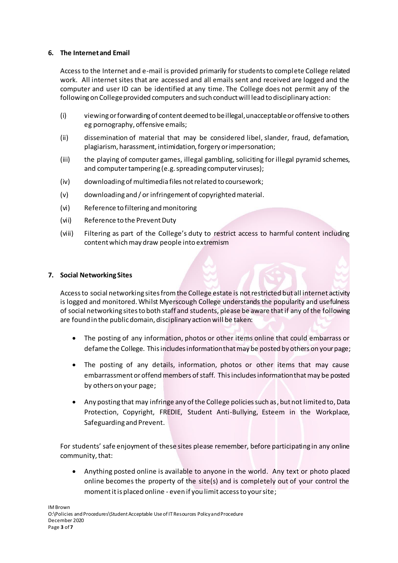## **6. The Internet and Email**

Access to the Internet and e-mail is provided primarily for students to complete College related work. All internet sites that are accessed and all emails sent and received are logged and the computer and user ID can be identified at any time. The College does not permit any of the following on College provided computers and such conduct will lead to disciplinary action:

- (i) viewing or forwarding of content deemed to be illegal, unacceptable or offensive to others eg pornography, offensive emails;
- (ii) dissemination of material that may be considered libel, slander, fraud, defamation, plagiarism, harassment, intimidation, forgery or impersonation;
- (iii) the playing of computer games, illegal gambling, soliciting for illegal pyramid schemes, and computer tampering (e.g. spreading computer viruses);
- (iv) downloading of multimedia files not related to coursework;
- (v) downloading and / or infringement of copyrighted material.
- (vi) Reference to filtering and monitoring
- (vii) Reference to the Prevent Duty
- (viii) Filtering as part of the College's duty to restrict access to harmful content including content which may draw people into extremism

### **7. Social Networking Sites**

Access to social networking sites from the College estate is not restricted but all internet activity is logged and monitored. Whilst Myerscough College understands the popularity and usefulness of social networking sites to both staff and students, please be aware thatif any of the following are found in the public domain, disciplinary action will be taken:

- The posting of any information, photos or other items online that could embarrass or defame the College. This includes information that may be posted by others on your page;
- The posting of any details, information, photos or other items that may cause embarrassment or offend members of staff. This includes information that may be posted by others on your page;
- Any posting that may infringe any of the College policies such as, but not limited to, Data Protection, Copyright, FREDIE, Student Anti-Bullying, Esteem in the Workplace, Safeguarding and Prevent.

For students' safe enjoyment of these sites please remember, before participating in any online community, that:

• Anything posted online is available to anyone in the world. Any text or photo placed online becomes the property of the site(s) and is completely out of your control the moment it is placed online - even if you limit access to your site;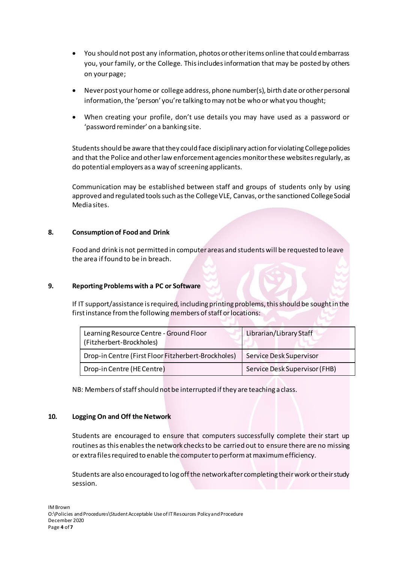- You should not post any information, photos or other items online that could embarrass you, your family, or the College. This includes information that may be posted by others on your page;
- Never post your home or college address, phone number(s), birth date or other personal information, the 'person' you're talking to may not be who or what you thought;
- When creating your profile, don't use details you may have used as a password or 'password reminder' on a banking site.

Students should be aware that they could face disciplinary action for violating College policies and that the Police and other law enforcement agencies monitor these websites regularly, as do potential employers as a way of screening applicants.

Communication may be established between staff and groups of students only by using approved and regulated tools such as the College VLE, Canvas, or the sanctioned College Social Media sites.

# **8. Consumption of Food and Drink**

Food and drink is not permitted in computer areas and students will be requested to leave the area if found to be in breach.

### **9. Reporting Problems with a PC or Software**

If IT support/assistance is required, including printing problems, this should be sought in the first instance from the following members of staff or locations:

| Learning Resource Centre - Ground Floor<br>(Fitzherbert-Brockholes) | Librarian/Library Staff       |
|---------------------------------------------------------------------|-------------------------------|
| Drop-in Centre (First Floor Fitzherbert-Brockholes)                 | Service Desk Supervisor       |
| Drop-in Centre (HE Centre)                                          | Service Desk Supervisor (FHB) |

NB: Members of staff should not be interrupted if they are teaching a class.

### **10. Logging On and Off the Network**

Students are encouraged to ensure that computers successfully complete their start up routines as this enables the network checks to be carried out to ensure there are no missing or extra files required to enable the computer to perform at maximum efficiency.

Students are also encouraged to log off the network after completing their work or their study session.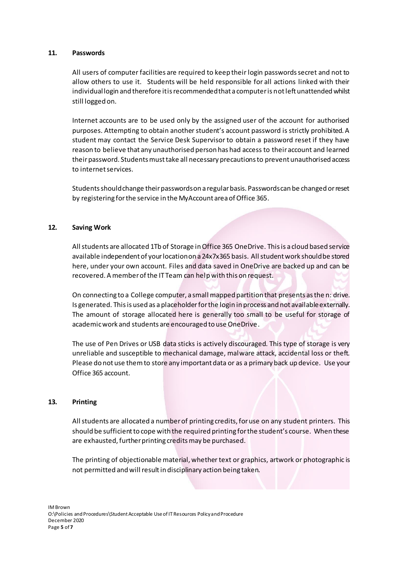### **11. Passwords**

All users of computer facilities are required to keep their login passwords secret and not to allow others to use it. Students will be held responsible for all actions linked with their individual login and therefore it is recommended that a computer is not left unattended whilst still logged on.

Internet accounts are to be used only by the assigned user of the account for authorised purposes. Attempting to obtain another student's account password is strictly prohibited. A student may contact the Service Desk Supervisor to obtain a password reset if they have reason to believe that any unauthorised person has had access to their account and learned their password. Students must take all necessary precautions to prevent unauthorised access to internet services.

Students should change their passwords on a regular basis. Passwords can be changed or reset by registering for the service in the MyAccount area of Office 365.

### **12. Saving Work**

All students are allocated 1Tb of Storage in Office 365 OneDrive. This is a cloud based service available independent of your location on a 24x7x365 basis. All student work should be stored here, under your own account. Files and data saved in OneDrive are backed up and can be recovered. A member of the IT Team can help with this on request.

On connecting to a College computer, a small mapped partition that presents as the n: drive. Is generated. This is used as a placeholder for the login in process and not available externally. The amount of storage allocated here is generally too small to be useful for storage of academic work and students are encouraged to use OneDrive.

The use of Pen Drives or USB data sticks is actively discouraged. This type of storage is very unreliable and susceptible to mechanical damage, malware attack, accidental loss or theft. Please do not use them to store any important data or as a primary back up device. Use your Office 365 account.

### **13. Printing**

All students are allocated a number of printing credits, for use on any student printers. This should be sufficient to cope with the required printing for the student's course. When these are exhausted, further printing credits may be purchased.

The printing of objectionable material, whether text or graphics, artwork or photographic is not permitted and will result in disciplinary action being taken.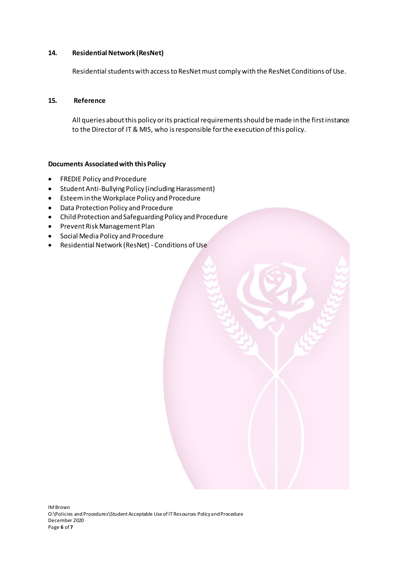## **14. Residential Network (ResNet)**

Residential students with access to ResNet must comply with the ResNet Conditions of Use.

## **15. Reference**

All queries about this policy or its practical requirements should be made in the first instance to the Director of IT & MIS, who is responsible for the execution of this policy.

# **Documents Associated with this Policy**

- FREDIE Policy and Procedure
- Student Anti-Bullying Policy (including Harassment)
- Esteem in the Workplace Policy and Procedure
- Data Protection Policy and Procedure
- Child Protection and Safeguarding Policy and Procedure
- Prevent Risk Management Plan
- Social Media Policy and Procedure
- Residential Network (ResNet) Conditions of Use